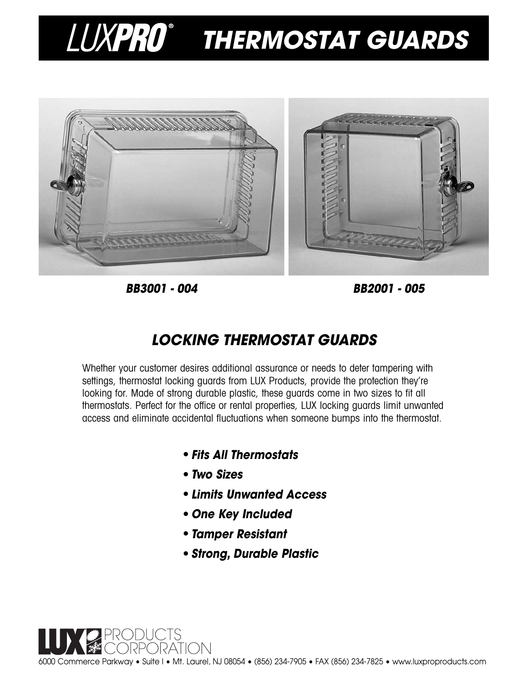# **THERMOSTAT GUARDS**



**BB3001 - 004 BB2001 - 005**

### **LOCKING THERMOSTAT GUARDS**

Whether your customer desires additional assurance or needs to deter tampering with settings, thermostat locking guards from LUX Products, provide the protection they're looking for. Made of strong durable plastic, these guards come in two sizes to fit all thermostats. Perfect for the office or rental properties, LUX locking guards limit unwanted access and eliminate accidental fluctuations when someone bumps into the thermostat.

- **Fits All Thermostats**
- **Two Sizes**
- **Limits Unwanted Access**
- **One Key Included**
- **Tamper Resistant**
- **Strong, Durable Plastic**